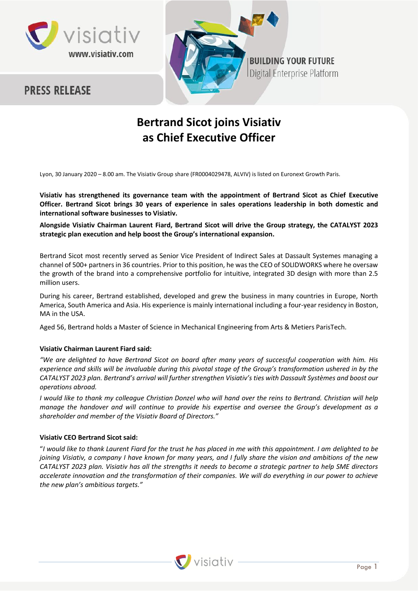





# **Bertrand Sicot joins Visiativ as Chief Executive Officer**

Lyon, 30 January 2020 – 8.00 am. The Visiativ Group share (FR0004029478, ALVIV) is listed on Euronext Growth Paris.

**Visiativ has strengthened its governance team with the appointment of Bertrand Sicot as Chief Executive Officer. Bertrand Sicot brings 30 years of experience in sales operations leadership in both domestic and international software businesses to Visiativ.**

**Alongside Visiativ Chairman Laurent Fiard, Bertrand Sicot will drive the Group strategy, the CATALYST 2023 strategic plan execution and help boost the Group's international expansion.** 

Bertrand Sicot most recently served as Senior Vice President of Indirect Sales at Dassault Systemes managing a channel of 500+ partners in 36 countries. Prior to this position, he was the CEO of SOLIDWORKS where he oversaw the growth of the brand into a comprehensive portfolio for intuitive, integrated 3D design with more than 2.5 million users.

During his career, Bertrand established, developed and grew the business in many countries in Europe, North America, South America and Asia. His experience is mainly international including a four-year residency in Boston, MA in the USA.

Aged 56, Bertrand holds a Master of Science in Mechanical Engineering from Arts & Metiers ParisTech.

# **Visiativ Chairman Laurent Fiard said:**

*"We are delighted to have Bertrand Sicot on board after many years of successful cooperation with him. His experience and skills will be invaluable during this pivotal stage of the Group's transformation ushered in by the CATALYST 2023 plan. Bertrand's arrival will further strengthen Visiativ's ties with Dassault Systèmes and boost our operations abroad.*

*I would like to thank my colleague Christian Donzel who will hand over the reins to Bertrand. Christian will help manage the handover and will continue to provide his expertise and oversee the Group's development as a shareholder and member of the Visiativ Board of Directors."*

# **Visiativ CEO Bertrand Sicot said:**

"*I would like to thank Laurent Fiard for the trust he has placed in me with this appointment. I am delighted to be joining Visiativ, a company I have known for many years, and I fully share the vision and ambitions of the new CATALYST 2023 plan. Visiativ has all the strengths it needs to become a strategic partner to help SME directors accelerate innovation and the transformation of their companies. We will do everything in our power to achieve the new plan's ambitious targets."*